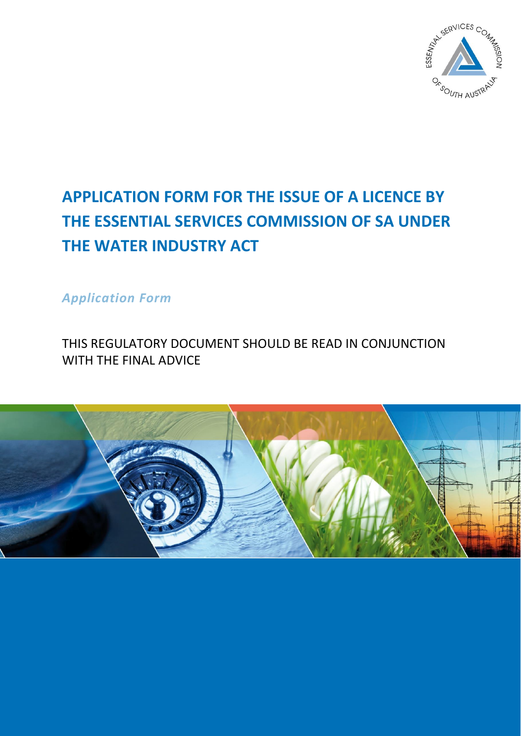

# **APPLICATION FORM FOR THE ISSUE OF A LICENCE BY THE ESSENTIAL SERVICES COMMISSION OF SA UNDER THE WATER INDUSTRY ACT**

*Application Form*

THIS REGULATORY DOCUMENT SHOULD BE READ IN CONJUNCTION WITH THE FINAL ADVICE

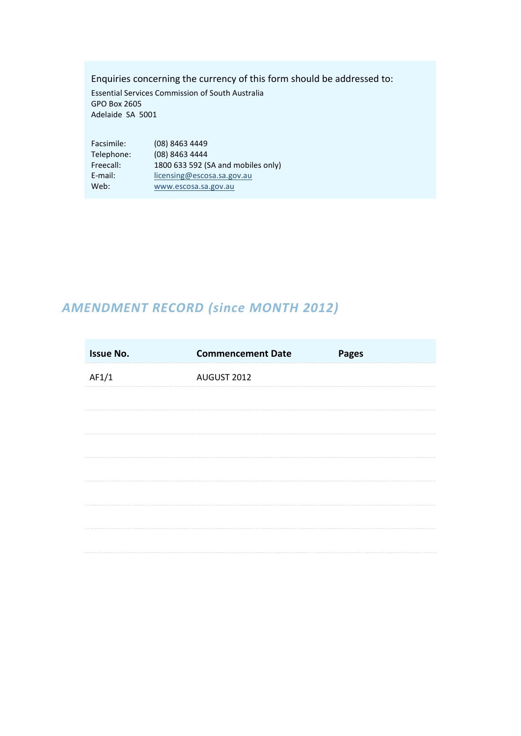Enquiries concerning the currency of this form should be addressed to:

Essential Services Commission of South Australia GPO Box 2605 Adelaide SA 5001

Facsimile: (08) 8463 4449 Telephone: (08) 8463 4444 Freecall: 1800 633 592 (SA and mobiles only) E-mail: [licensing@escosa.sa.gov.au](mailto:licensing@escosa.sa.gov.au) Web: [www.escosa.sa.gov.au](http://www.escosa.sa.gov.au/)

# *AMENDMENT RECORD (since MONTH 2012)*

| <b>Issue No.</b> | <b>Commencement Date</b> | <b>Pages</b> |
|------------------|--------------------------|--------------|
| AF1/1            | AUGUST 2012              |              |
|                  |                          |              |
|                  |                          |              |
|                  |                          |              |
|                  |                          |              |
|                  |                          |              |
|                  |                          |              |
|                  |                          |              |
|                  |                          |              |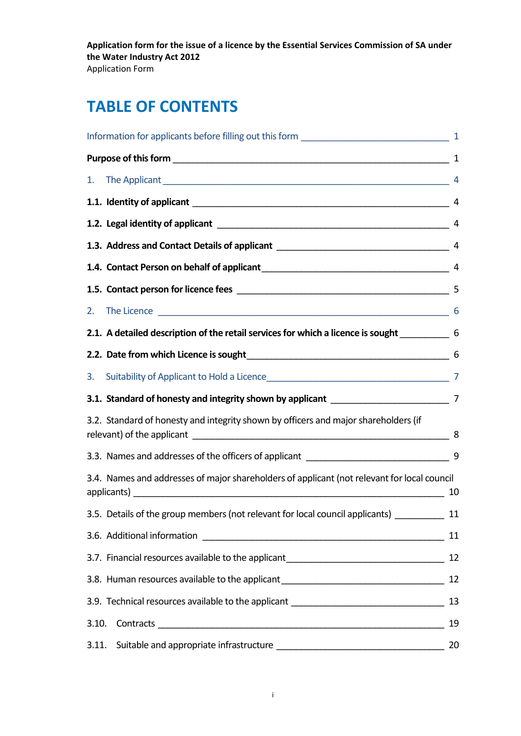# **TABLE OF CONTENTS**

|       | 1. The Applicant 4                                                                                                |    |  |
|-------|-------------------------------------------------------------------------------------------------------------------|----|--|
|       |                                                                                                                   |    |  |
|       |                                                                                                                   |    |  |
|       |                                                                                                                   |    |  |
|       | 1.4. Contact Person on behalf of applicant<br>4                                                                   |    |  |
|       |                                                                                                                   |    |  |
|       |                                                                                                                   |    |  |
|       | 2.1. A detailed description of the retail services for which a licence is sought ___________________ 6            |    |  |
|       |                                                                                                                   |    |  |
| 3.    |                                                                                                                   |    |  |
|       |                                                                                                                   |    |  |
|       | 3.2. Standard of honesty and integrity shown by officers and major shareholders (if<br>relevant) of the applicant |    |  |
|       |                                                                                                                   |    |  |
|       | 3.4. Names and addresses of major shareholders of applicant (not relevant for local council                       | 10 |  |
|       | 3.5. Details of the group members (not relevant for local council applicants) _________                           | 11 |  |
|       |                                                                                                                   | 11 |  |
|       | 3.7. Financial resources available to the applicant_____________________________                                  | 12 |  |
|       | 3.8. Human resources available to the applicant ________________________________                                  | 12 |  |
|       | 3.9. Technical resources available to the applicant ____________________________                                  | 13 |  |
| 3.10. |                                                                                                                   | 19 |  |
| 3.11. |                                                                                                                   | 20 |  |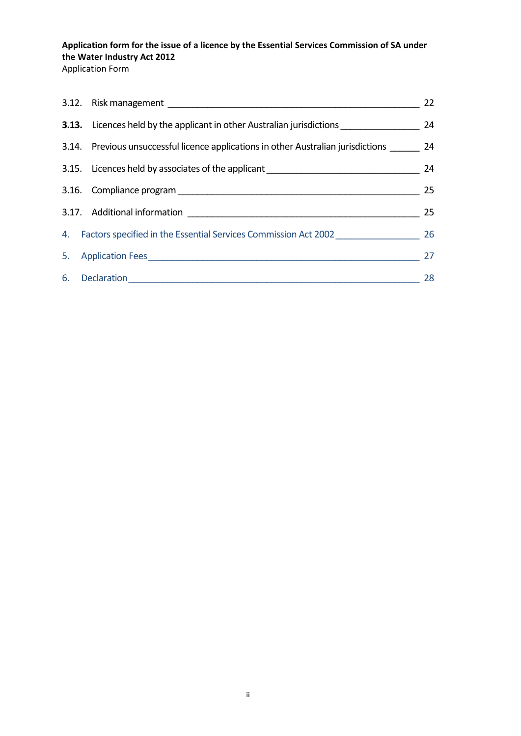Application Form

| 3.13. Licences held by the applicant in other Australian jurisdictions __________              | 24 |
|------------------------------------------------------------------------------------------------|----|
| 3.14. Previous unsuccessful licence applications in other Australian jurisdictions             | 24 |
| 3.15. Licences held by associates of the applicant _____________________________               | 24 |
|                                                                                                | 25 |
|                                                                                                | 25 |
| 4. Factors specified in the Essential Services Commission Act 2002 ________________________ 26 |    |
| 5. Application Fees                                                                            | 27 |
|                                                                                                | 28 |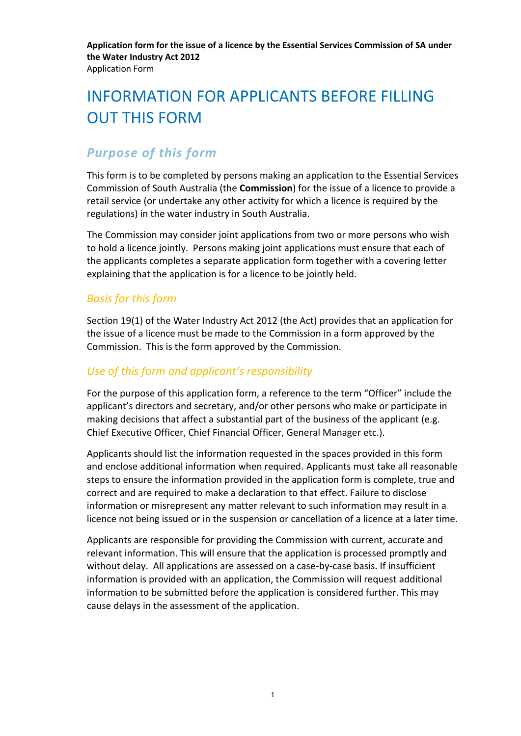# INFORMATION FOR APPLICANTS BEFORE FILLING OUT THIS FORM

## *Purpose of this form*

This form is to be completed by persons making an application to the Essential Services Commission of South Australia (the **Commission**) for the issue of a licence to provide a retail service (or undertake any other activity for which a licence is required by the regulations) in the water industry in South Australia.

The Commission may consider joint applications from two or more persons who wish to hold a licence jointly. Persons making joint applications must ensure that each of the applicants completes a separate application form together with a covering letter explaining that the application is for a licence to be jointly held.

### *Basis for this form*

Section 19(1) of the Water Industry Act 2012 (the Act) provides that an application for the issue of a licence must be made to the Commission in a form approved by the Commission. This is the form approved by the Commission.

### *Use of this form and applicant's responsibility*

For the purpose of this application form, a reference to the term "Officer" include the applicant's directors and secretary, and/or other persons who make or participate in making decisions that affect a substantial part of the business of the applicant (e.g. Chief Executive Officer, Chief Financial Officer, General Manager etc.).

Applicants should list the information requested in the spaces provided in this form and enclose additional information when required. Applicants must take all reasonable steps to ensure the information provided in the application form is complete, true and correct and are required to make a declaration to that effect. Failure to disclose information or misrepresent any matter relevant to such information may result in a licence not being issued or in the suspension or cancellation of a licence at a later time.

Applicants are responsible for providing the Commission with current, accurate and relevant information. This will ensure that the application is processed promptly and without delay. All applications are assessed on a case-by-case basis. If insufficient information is provided with an application, the Commission will request additional information to be submitted before the application is considered further. This may cause delays in the assessment of the application.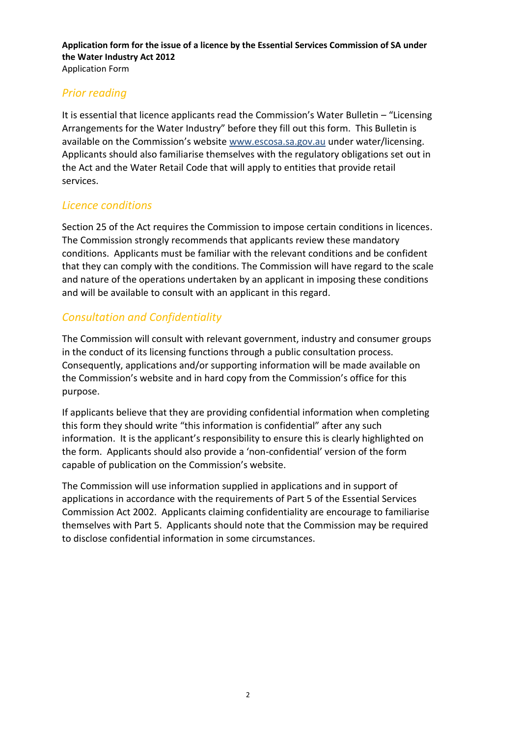### *Prior reading*

It is essential that licence applicants read the Commission's Water Bulletin – "Licensing Arrangements for the Water Industry" before they fill out this form. This Bulletin is available on the Commission's website [www.escosa.sa.gov.au](http://www.escosa.sa.gov.au/) under water/licensing. Applicants should also familiarise themselves with the regulatory obligations set out in the Act and the Water Retail Code that will apply to entities that provide retail services.

#### *Licence conditions*

Section 25 of the Act requires the Commission to impose certain conditions in licences. The Commission strongly recommends that applicants review these mandatory conditions. Applicants must be familiar with the relevant conditions and be confident that they can comply with the conditions. The Commission will have regard to the scale and nature of the operations undertaken by an applicant in imposing these conditions and will be available to consult with an applicant in this regard.

### *Consultation and Confidentiality*

The Commission will consult with relevant government, industry and consumer groups in the conduct of its licensing functions through a public consultation process. Consequently, applications and/or supporting information will be made available on the Commission's website and in hard copy from the Commission's office for this purpose.

If applicants believe that they are providing confidential information when completing this form they should write "this information is confidential" after any such information. It is the applicant's responsibility to ensure this is clearly highlighted on the form. Applicants should also provide a 'non-confidential' version of the form capable of publication on the Commission's website.

The Commission will use information supplied in applications and in support of applications in accordance with the requirements of Part 5 of the Essential Services Commission Act 2002. Applicants claiming confidentiality are encourage to familiarise themselves with Part 5. Applicants should note that the Commission may be required to disclose confidential information in some circumstances.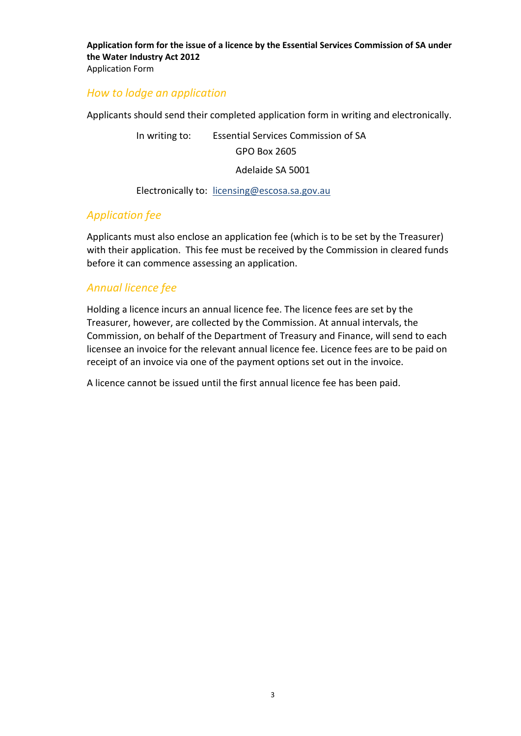#### *How to lodge an application*

Applicants should send their completed application form in writing and electronically.

In writing to: Essential Services Commission of SA GPO Box 2605 Adelaide SA 5001

Electronically to: [licensing@escosa.sa.gov.au](mailto:licensing@escosa.sa.gov.au)

#### *Application fee*

Applicants must also enclose an application fee (which is to be set by the Treasurer) with their application. This fee must be received by the Commission in cleared funds before it can commence assessing an application.

### *Annual licence fee*

Holding a licence incurs an annual licence fee. The licence fees are set by the Treasurer, however, are collected by the Commission. At annual intervals, the Commission, on behalf of the Department of Treasury and Finance, will send to each licensee an invoice for the relevant annual licence fee. Licence fees are to be paid on receipt of an invoice via one of the payment options set out in the invoice.

A licence cannot be issued until the first annual licence fee has been paid.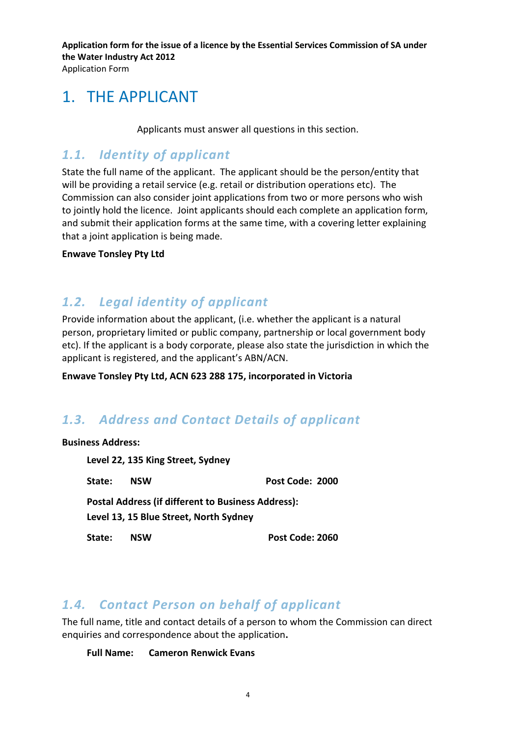Application Form

# 1. THE APPLICANT

Applicants must answer all questions in this section.

### *1.1. Identity of applicant*

State the full name of the applicant. The applicant should be the person/entity that will be providing a retail service (e.g. retail or distribution operations etc). The Commission can also consider joint applications from two or more persons who wish to jointly hold the licence. Joint applicants should each complete an application form, and submit their application forms at the same time, with a covering letter explaining that a joint application is being made.

**Enwave Tonsley Pty Ltd**

# *1.2. Legal identity of applicant*

**Level 22, 135 King Street, Sydney**

Provide information about the applicant, (i.e. whether the applicant is a natural person, proprietary limited or public company, partnership or local government body etc). If the applicant is a body corporate, please also state the jurisdiction in which the applicant is registered, and the applicant's ABN/ACN.

**Enwave Tonsley Pty Ltd, ACN 623 288 175, incorporated in Victoria**

# *1.3. Address and Contact Details of applicant*

**Business Address:**

| State:                                                    | <b>NSW</b> | Post Code: 2000 |  |  |
|-----------------------------------------------------------|------------|-----------------|--|--|
| <b>Postal Address (if different to Business Address):</b> |            |                 |  |  |
| Level 13, 15 Blue Street, North Sydney                    |            |                 |  |  |
| State:                                                    | <b>NSW</b> | Post Code: 2060 |  |  |

# *1.4. Contact Person on behalf of applicant*

The full name, title and contact details of a person to whom the Commission can direct enquiries and correspondence about the application**.** 

#### **Full Name: Cameron Renwick Evans**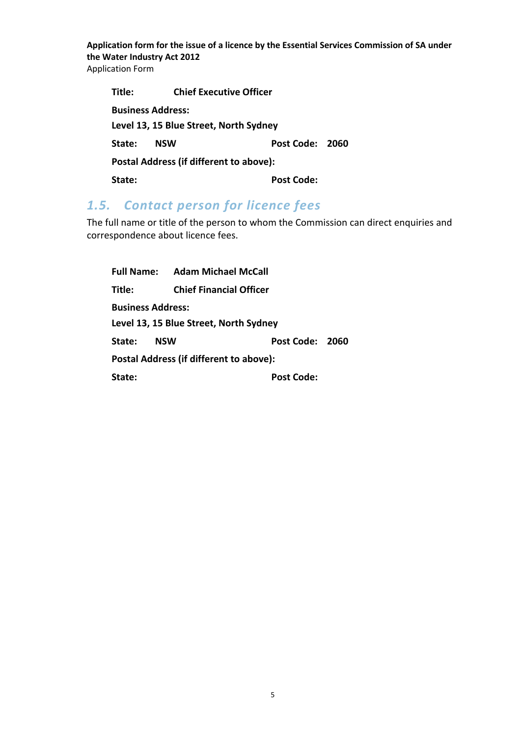**Title: Chief Executive Officer Business Address: Level 13, 15 Blue Street, North Sydney State: NSW Post Code: 2060 Postal Address (if different to above): State: Post Code:**

### *1.5. Contact person for licence fees*

The full name or title of the person to whom the Commission can direct enquiries and correspondence about licence fees.

**Full Name: Adam Michael McCall Title: Chief Financial Officer Business Address: Level 13, 15 Blue Street, North Sydney State: NSW Post Code: 2060 Postal Address (if different to above):** State: Post Code: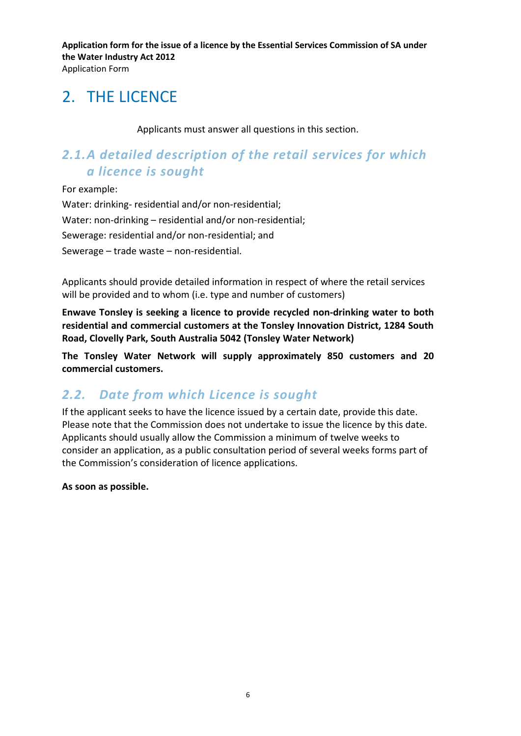# 2. THE LICENCE

Applicants must answer all questions in this section.

# *2.1.A detailed description of the retail services for which a licence is sought*

For example: Water: drinking- residential and/or non-residential; Water: non-drinking – residential and/or non-residential; Sewerage: residential and/or non-residential; and Sewerage – trade waste – non-residential.

Applicants should provide detailed information in respect of where the retail services will be provided and to whom (i.e. type and number of customers)

**Enwave Tonsley is seeking a licence to provide recycled non-drinking water to both residential and commercial customers at the Tonsley Innovation District, 1284 South Road, Clovelly Park, South Australia 5042 (Tonsley Water Network)**

**The Tonsley Water Network will supply approximately 850 customers and 20 commercial customers.**

# *2.2. Date from which Licence is sought*

If the applicant seeks to have the licence issued by a certain date, provide this date. Please note that the Commission does not undertake to issue the licence by this date. Applicants should usually allow the Commission a minimum of twelve weeks to consider an application, as a public consultation period of several weeks forms part of the Commission's consideration of licence applications.

**As soon as possible.**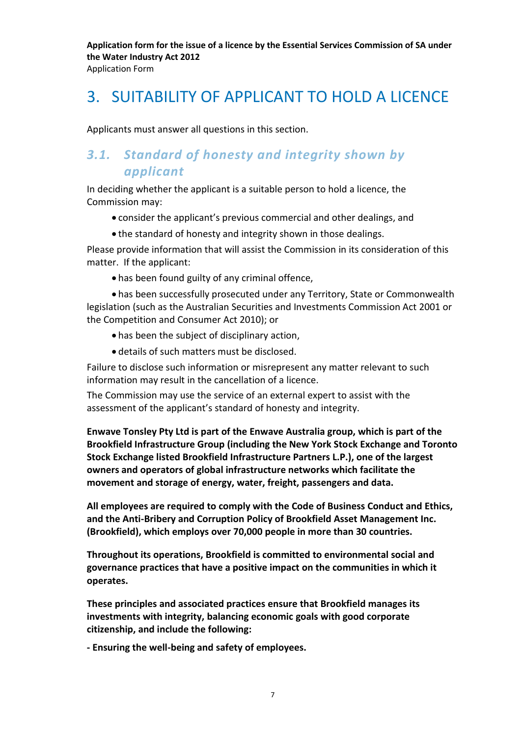Application Form

# 3. SUITABILITY OF APPLICANT TO HOLD A LICENCE

Applicants must answer all questions in this section.

# *3.1. Standard of honesty and integrity shown by applicant*

In deciding whether the applicant is a suitable person to hold a licence, the Commission may:

- consider the applicant's previous commercial and other dealings, and
- the standard of honesty and integrity shown in those dealings.

Please provide information that will assist the Commission in its consideration of this matter. If the applicant:

• has been found guilty of any criminal offence,

• has been successfully prosecuted under any Territory, State or Commonwealth legislation (such as the Australian Securities and Investments Commission Act 2001 or the Competition and Consumer Act 2010); or

- has been the subject of disciplinary action,
- details of such matters must be disclosed.

Failure to disclose such information or misrepresent any matter relevant to such information may result in the cancellation of a licence.

The Commission may use the service of an external expert to assist with the assessment of the applicant's standard of honesty and integrity.

**Enwave Tonsley Pty Ltd is part of the Enwave Australia group, which is part of the Brookfield Infrastructure Group (including the New York Stock Exchange and Toronto Stock Exchange listed Brookfield Infrastructure Partners L.P.), one of the largest owners and operators of global infrastructure networks which facilitate the movement and storage of energy, water, freight, passengers and data.** 

**All employees are required to comply with the Code of Business Conduct and Ethics, and the Anti-Bribery and Corruption Policy of Brookfield Asset Management Inc. (Brookfield), which employs over 70,000 people in more than 30 countries.** 

**Throughout its operations, Brookfield is committed to environmental social and governance practices that have a positive impact on the communities in which it operates.** 

**These principles and associated practices ensure that Brookfield manages its investments with integrity, balancing economic goals with good corporate citizenship, and include the following:**

**- Ensuring the well-being and safety of employees.**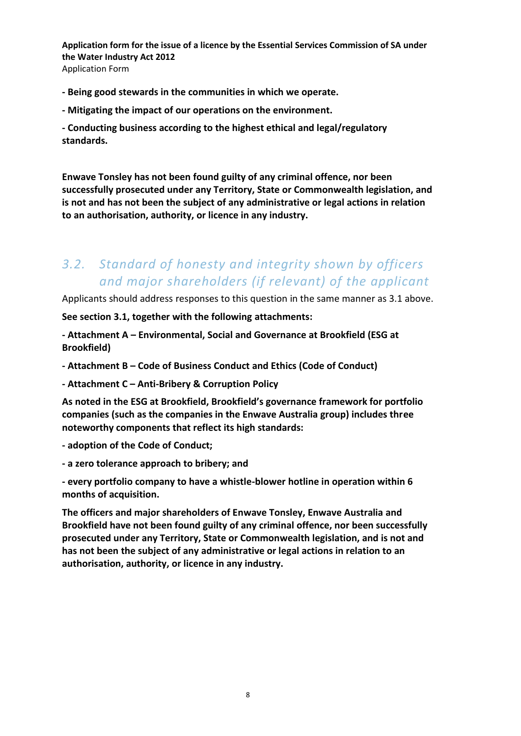- **- Being good stewards in the communities in which we operate.**
- **- Mitigating the impact of our operations on the environment.**

**- Conducting business according to the highest ethical and legal/regulatory standards.**

**Enwave Tonsley has not been found guilty of any criminal offence, nor been successfully prosecuted under any Territory, State or Commonwealth legislation, and is not and has not been the subject of any administrative or legal actions in relation to an authorisation, authority, or licence in any industry.**

### *3.2. Standard of honesty and integrity shown by officers and major shareholders (if relevant) of the applicant*

Applicants should address responses to this question in the same manner as 3.1 above.

**See section 3.1, together with the following attachments:**

**- Attachment A – Environmental, Social and Governance at Brookfield (ESG at Brookfield)**

**- Attachment B – Code of Business Conduct and Ethics (Code of Conduct)**

**- Attachment C – Anti-Bribery & Corruption Policy**

**As noted in the ESG at Brookfield, Brookfield's governance framework for portfolio companies (such as the companies in the Enwave Australia group) includes three noteworthy components that reflect its high standards:**

**- adoption of the Code of Conduct;**

**- a zero tolerance approach to bribery; and**

**- every portfolio company to have a whistle-blower hotline in operation within 6 months of acquisition.**

**The officers and major shareholders of Enwave Tonsley, Enwave Australia and Brookfield have not been found guilty of any criminal offence, nor been successfully prosecuted under any Territory, State or Commonwealth legislation, and is not and has not been the subject of any administrative or legal actions in relation to an authorisation, authority, or licence in any industry.**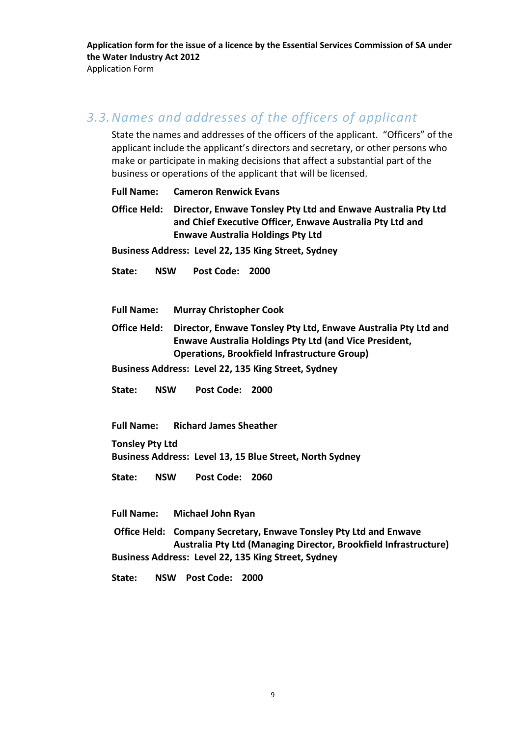# *3.3.Names and addresses of the officers of applicant*

State the names and addresses of the officers of the applicant. "Officers" of the applicant include the applicant's directors and secretary, or other persons who make or participate in making decisions that affect a substantial part of the business or operations of the applicant that will be licensed.

**Full Name: Cameron Renwick Evans**

**Office Held: Director, Enwave Tonsley Pty Ltd and Enwave Australia Pty Ltd and Chief Executive Officer, Enwave Australia Pty Ltd and Enwave Australia Holdings Pty Ltd**

**Business Address: Level 22, 135 King Street, Sydney**

**State: NSW Post Code: 2000**

**Full Name: Murray Christopher Cook**

**Office Held: Director, Enwave Tonsley Pty Ltd, Enwave Australia Pty Ltd and Enwave Australia Holdings Pty Ltd (and Vice President, Operations, Brookfield Infrastructure Group)**

**Business Address: Level 22, 135 King Street, Sydney**

**State: NSW Post Code: 2000**

**Full Name: Richard James Sheather**

**Tonsley Pty Ltd Business Address: Level 13, 15 Blue Street, North Sydney**

**State: NSW Post Code: 2060**

**Full Name: Michael John Ryan**

**Office Held: Company Secretary, Enwave Tonsley Pty Ltd and Enwave Australia Pty Ltd (Managing Director, Brookfield Infrastructure) Business Address: Level 22, 135 King Street, Sydney**

**State: NSW Post Code: 2000**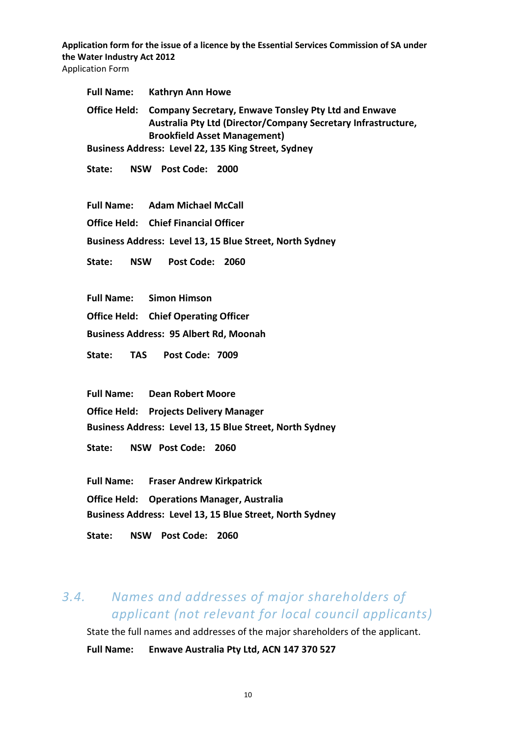**Full Name: Kathryn Ann Howe Office Held: Company Secretary, Enwave Tonsley Pty Ltd and Enwave Australia Pty Ltd (Director/Company Secretary Infrastructure, Brookfield Asset Management) Business Address: Level 22, 135 King Street, Sydney State: NSW Post Code: 2000 Full Name: Adam Michael McCall Office Held: Chief Financial Officer Business Address: Level 13, 15 Blue Street, North Sydney State: NSW Post Code: 2060 Full Name: Simon Himson** 

**Office Held: Chief Operating Officer**

**Business Address: 95 Albert Rd, Moonah**

**State: TAS Post Code: 7009**

**Full Name: Dean Robert Moore Office Held: Projects Delivery Manager Business Address: Level 13, 15 Blue Street, North Sydney**

**State: NSW Post Code: 2060**

**Full Name: Fraser Andrew Kirkpatrick Office Held: Operations Manager, Australia Business Address: Level 13, 15 Blue Street, North Sydney State: NSW Post Code: 2060**

# *3.4. Names and addresses of major shareholders of applicant (not relevant for local council applicants)*

State the full names and addresses of the major shareholders of the applicant.

**Full Name: Enwave Australia Pty Ltd, ACN 147 370 527**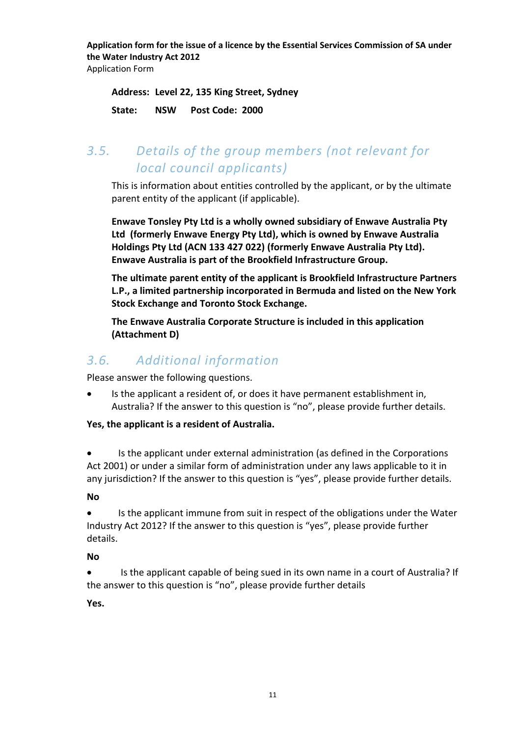Application Form

**Address: Level 22, 135 King Street, Sydney State: NSW Post Code: 2000**

# *3.5. Details of the group members (not relevant for local council applicants)*

This is information about entities controlled by the applicant, or by the ultimate parent entity of the applicant (if applicable).

**Enwave Tonsley Pty Ltd is a wholly owned subsidiary of Enwave Australia Pty Ltd (formerly Enwave Energy Pty Ltd), which is owned by Enwave Australia Holdings Pty Ltd (ACN 133 427 022) (formerly Enwave Australia Pty Ltd). Enwave Australia is part of the Brookfield Infrastructure Group.** 

**The ultimate parent entity of the applicant is Brookfield Infrastructure Partners L.P., a limited partnership incorporated in Bermuda and listed on the New York Stock Exchange and Toronto Stock Exchange.**

**The Enwave Australia Corporate Structure is included in this application (Attachment D)** 

# *3.6. Additional information*

Please answer the following questions.

Is the applicant a resident of, or does it have permanent establishment in, Australia? If the answer to this question is "no", please provide further details.

#### **Yes, the applicant is a resident of Australia.**

Is the applicant under external administration (as defined in the Corporations Act 2001) or under a similar form of administration under any laws applicable to it in any jurisdiction? If the answer to this question is "yes", please provide further details.

**No**

Is the applicant immune from suit in respect of the obligations under the Water Industry Act 2012? If the answer to this question is "yes", please provide further details.

**No**

Is the applicant capable of being sued in its own name in a court of Australia? If the answer to this question is "no", please provide further details

**Yes.**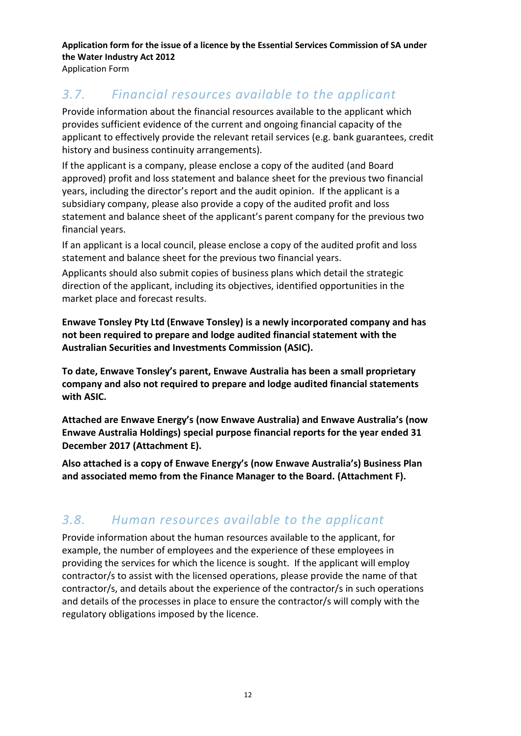# *3.7. Financial resources available to the applicant*

Provide information about the financial resources available to the applicant which provides sufficient evidence of the current and ongoing financial capacity of the applicant to effectively provide the relevant retail services (e.g. bank guarantees, credit history and business continuity arrangements).

If the applicant is a company, please enclose a copy of the audited (and Board approved) profit and loss statement and balance sheet for the previous two financial years, including the director's report and the audit opinion. If the applicant is a subsidiary company, please also provide a copy of the audited profit and loss statement and balance sheet of the applicant's parent company for the previous two financial years.

If an applicant is a local council, please enclose a copy of the audited profit and loss statement and balance sheet for the previous two financial years.

Applicants should also submit copies of business plans which detail the strategic direction of the applicant, including its objectives, identified opportunities in the market place and forecast results.

**Enwave Tonsley Pty Ltd (Enwave Tonsley) is a newly incorporated company and has not been required to prepare and lodge audited financial statement with the Australian Securities and Investments Commission (ASIC).** 

**To date, Enwave Tonsley's parent, Enwave Australia has been a small proprietary company and also not required to prepare and lodge audited financial statements with ASIC.** 

**Attached are Enwave Energy's (now Enwave Australia) and Enwave Australia's (now Enwave Australia Holdings) special purpose financial reports for the year ended 31 December 2017 (Attachment E).**

**Also attached is a copy of Enwave Energy's (now Enwave Australia's) Business Plan and associated memo from the Finance Manager to the Board. (Attachment F).**

# *3.8. Human resources available to the applicant*

Provide information about the human resources available to the applicant, for example, the number of employees and the experience of these employees in providing the services for which the licence is sought. If the applicant will employ contractor/s to assist with the licensed operations, please provide the name of that contractor/s, and details about the experience of the contractor/s in such operations and details of the processes in place to ensure the contractor/s will comply with the regulatory obligations imposed by the licence.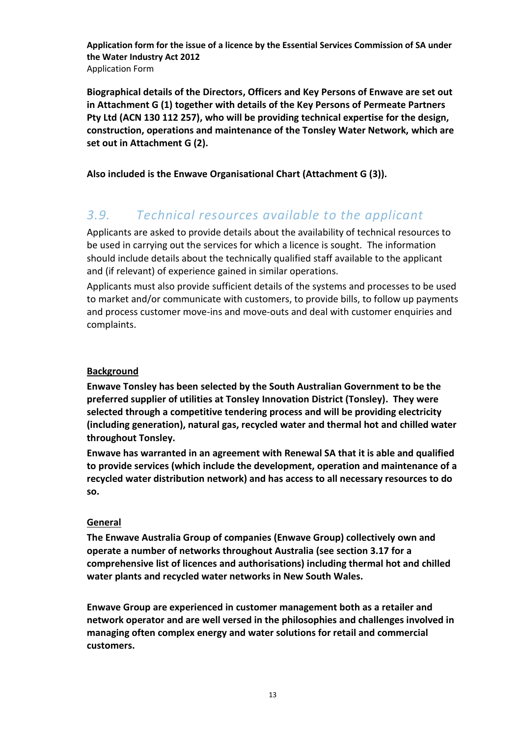**Biographical details of the Directors, Officers and Key Persons of Enwave are set out in Attachment G (1) together with details of the Key Persons of Permeate Partners Pty Ltd (ACN 130 112 257), who will be providing technical expertise for the design, construction, operations and maintenance of the Tonsley Water Network, which are set out in Attachment G (2).**

**Also included is the Enwave Organisational Chart (Attachment G (3)).**

### *3.9. Technical resources available to the applicant*

Applicants are asked to provide details about the availability of technical resources to be used in carrying out the services for which a licence is sought. The information should include details about the technically qualified staff available to the applicant and (if relevant) of experience gained in similar operations.

Applicants must also provide sufficient details of the systems and processes to be used to market and/or communicate with customers, to provide bills, to follow up payments and process customer move-ins and move-outs and deal with customer enquiries and complaints.

#### **Background**

**Enwave Tonsley has been selected by the South Australian Government to be the preferred supplier of utilities at Tonsley Innovation District (Tonsley). They were selected through a competitive tendering process and will be providing electricity (including generation), natural gas, recycled water and thermal hot and chilled water throughout Tonsley.** 

**Enwave has warranted in an agreement with Renewal SA that it is able and qualified to provide services (which include the development, operation and maintenance of a recycled water distribution network) and has access to all necessary resources to do so.**

#### **General**

**The Enwave Australia Group of companies (Enwave Group) collectively own and operate a number of networks throughout Australia (see section 3.17 for a comprehensive list of licences and authorisations) including thermal hot and chilled water plants and recycled water networks in New South Wales.**

**Enwave Group are experienced in customer management both as a retailer and network operator and are well versed in the philosophies and challenges involved in managing often complex energy and water solutions for retail and commercial customers.**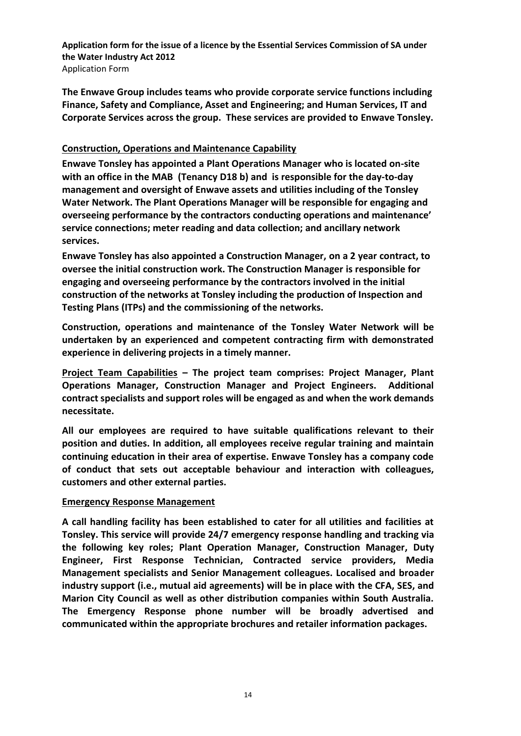**The Enwave Group includes teams who provide corporate service functions including Finance, Safety and Compliance, Asset and Engineering; and Human Services, IT and Corporate Services across the group. These services are provided to Enwave Tonsley.**

#### **Construction, Operations and Maintenance Capability**

**Enwave Tonsley has appointed a Plant Operations Manager who is located on-site with an office in the MAB (Tenancy D18 b) and is responsible for the day-to-day management and oversight of Enwave assets and utilities including of the Tonsley Water Network. The Plant Operations Manager will be responsible for engaging and overseeing performance by the contractors conducting operations and maintenance' service connections; meter reading and data collection; and ancillary network services.**

**Enwave Tonsley has also appointed a Construction Manager, on a 2 year contract, to oversee the initial construction work. The Construction Manager is responsible for engaging and overseeing performance by the contractors involved in the initial construction of the networks at Tonsley including the production of Inspection and Testing Plans (ITPs) and the commissioning of the networks.**

**Construction, operations and maintenance of the Tonsley Water Network will be undertaken by an experienced and competent contracting firm with demonstrated experience in delivering projects in a timely manner.** 

**Project Team Capabilities – The project team comprises: Project Manager, Plant Operations Manager, Construction Manager and Project Engineers. Additional contract specialists and support roles will be engaged as and when the work demands necessitate.** 

**All our employees are required to have suitable qualifications relevant to their position and duties. In addition, all employees receive regular training and maintain continuing education in their area of expertise. Enwave Tonsley has a company code of conduct that sets out acceptable behaviour and interaction with colleagues, customers and other external parties.** 

#### **Emergency Response Management**

**A call handling facility has been established to cater for all utilities and facilities at Tonsley. This service will provide 24/7 emergency response handling and tracking via the following key roles; Plant Operation Manager, Construction Manager, Duty Engineer, First Response Technician, Contracted service providers, Media Management specialists and Senior Management colleagues. Localised and broader industry support (i.e., mutual aid agreements) will be in place with the CFA, SES, and Marion City Council as well as other distribution companies within South Australia. The Emergency Response phone number will be broadly advertised and communicated within the appropriate brochures and retailer information packages.**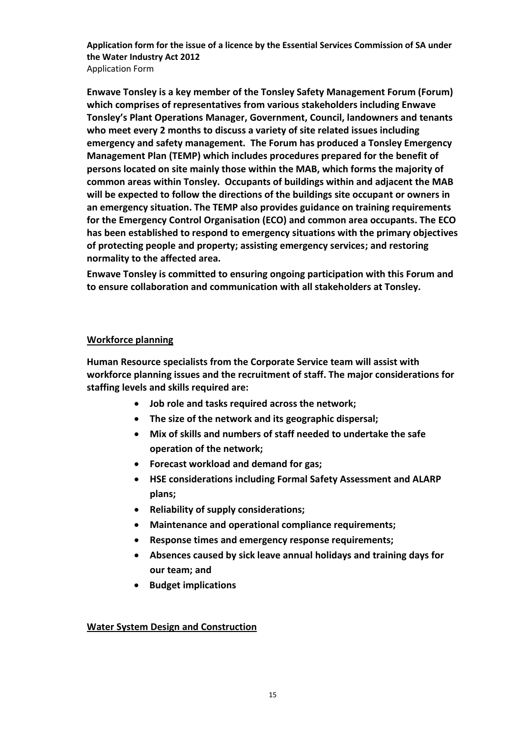**Enwave Tonsley is a key member of the Tonsley Safety Management Forum (Forum) which comprises of representatives from various stakeholders including Enwave Tonsley's Plant Operations Manager, Government, Council, landowners and tenants who meet every 2 months to discuss a variety of site related issues including emergency and safety management. The Forum has produced a Tonsley Emergency Management Plan (TEMP) which includes procedures prepared for the benefit of persons located on site mainly those within the MAB, which forms the majority of common areas within Tonsley. Occupants of buildings within and adjacent the MAB will be expected to follow the directions of the buildings site occupant or owners in an emergency situation. The TEMP also provides guidance on training requirements for the Emergency Control Organisation (ECO) and common area occupants. The ECO has been established to respond to emergency situations with the primary objectives of protecting people and property; assisting emergency services; and restoring normality to the affected area.** 

**Enwave Tonsley is committed to ensuring ongoing participation with this Forum and to ensure collaboration and communication with all stakeholders at Tonsley.** 

#### **Workforce planning**

**Human Resource specialists from the Corporate Service team will assist with workforce planning issues and the recruitment of staff. The major considerations for staffing levels and skills required are:**

- **Job role and tasks required across the network;**
- **The size of the network and its geographic dispersal;**
- **Mix of skills and numbers of staff needed to undertake the safe operation of the network;**
- **Forecast workload and demand for gas;**
- **HSE considerations including Formal Safety Assessment and ALARP plans;**
- **Reliability of supply considerations;**
- **Maintenance and operational compliance requirements;**
- **Response times and emergency response requirements;**
- **Absences caused by sick leave annual holidays and training days for our team; and**
- **Budget implications**

#### **Water System Design and Construction**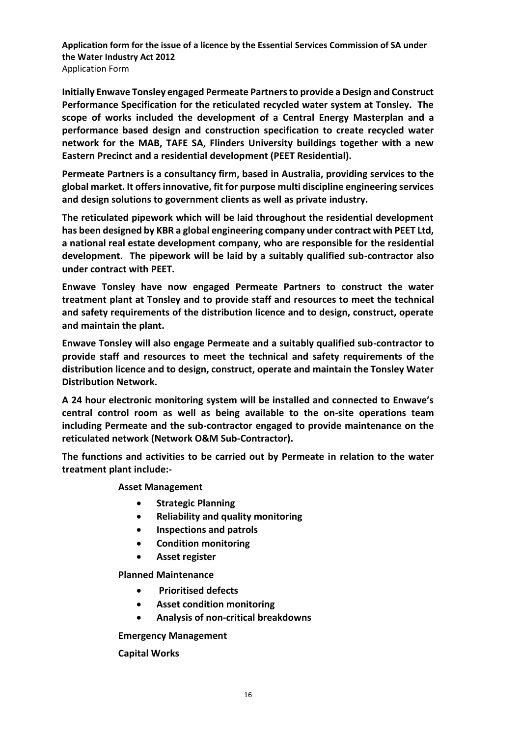**Initially Enwave Tonsley engaged Permeate Partners to provide a Design and Construct Performance Specification for the reticulated recycled water system at Tonsley. The scope of works included the development of a Central Energy Masterplan and a performance based design and construction specification to create recycled water network for the MAB, TAFE SA, Flinders University buildings together with a new Eastern Precinct and a residential development (PEET Residential).** 

**Permeate Partners is a consultancy firm, based in Australia, providing services to the global market. It offers innovative, fit for purpose multi discipline engineering services and design solutions to government clients as well as private industry.** 

**The reticulated pipework which will be laid throughout the residential development has been designed by KBR a global engineering company under contract with PEET Ltd, a national real estate development company, who are responsible for the residential development. The pipework will be laid by a suitably qualified sub-contractor also under contract with PEET.** 

**Enwave Tonsley have now engaged Permeate Partners to construct the water treatment plant at Tonsley and to provide staff and resources to meet the technical and safety requirements of the distribution licence and to design, construct, operate and maintain the plant.**

**Enwave Tonsley will also engage Permeate and a suitably qualified sub-contractor to provide staff and resources to meet the technical and safety requirements of the distribution licence and to design, construct, operate and maintain the Tonsley Water Distribution Network.** 

**A 24 hour electronic monitoring system will be installed and connected to Enwave's central control room as well as being available to the on-site operations team including Permeate and the sub-contractor engaged to provide maintenance on the reticulated network (Network O&M Sub-Contractor).**

**The functions and activities to be carried out by Permeate in relation to the water treatment plant include:-**

**Asset Management** 

- **Strategic Planning**
- **Reliability and quality monitoring**
- **Inspections and patrols**
- **Condition monitoring**
- **Asset register**

**Planned Maintenance** 

- **Prioritised defects**
- **Asset condition monitoring**
- **Analysis of non-critical breakdowns**

**Emergency Management**

**Capital Works**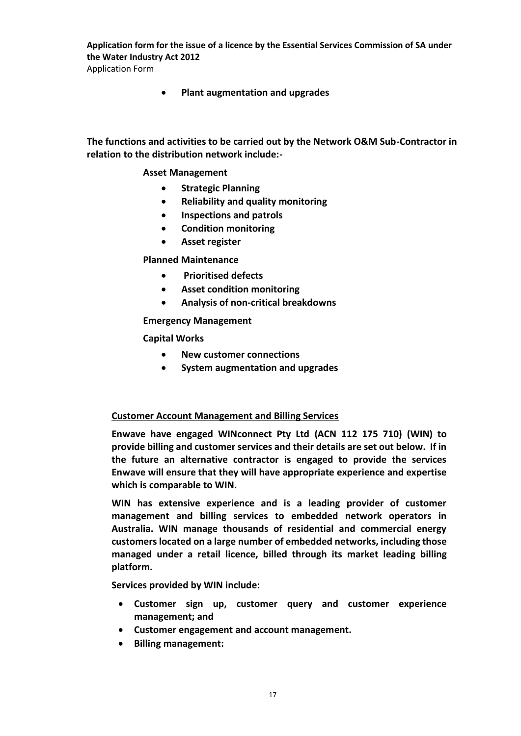Application Form

• **Plant augmentation and upgrades**

**The functions and activities to be carried out by the Network O&M Sub-Contractor in relation to the distribution network include:-**

#### **Asset Management**

- **Strategic Planning**
- **Reliability and quality monitoring**
- **Inspections and patrols**
- **Condition monitoring**
- **Asset register**

#### **Planned Maintenance**

- **Prioritised defects**
- **Asset condition monitoring**
- **Analysis of non-critical breakdowns**

#### **Emergency Management**

**Capital Works**

- **New customer connections**
- **System augmentation and upgrades**

#### **Customer Account Management and Billing Services**

**Enwave have engaged WINconnect Pty Ltd (ACN 112 175 710) (WIN) to provide billing and customer services and their details are set out below. If in the future an alternative contractor is engaged to provide the services Enwave will ensure that they will have appropriate experience and expertise which is comparable to WIN.** 

**WIN has extensive experience and is a leading provider of customer management and billing services to embedded network operators in Australia. WIN manage thousands of residential and commercial energy customers located on a large number of embedded networks, including those managed under a retail licence, billed through its market leading billing platform.** 

**Services provided by WIN include:**

- **Customer sign up, customer query and customer experience management; and**
- **Customer engagement and account management.**
- **Billing management:**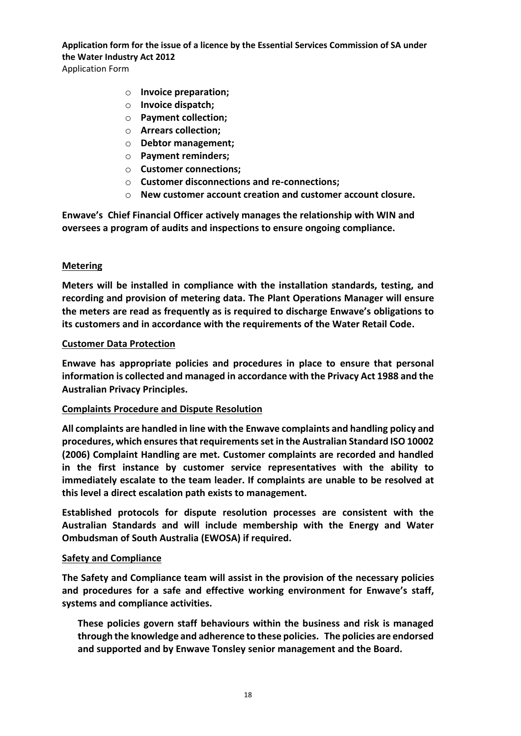- o **Invoice preparation;**
	- o **Invoice dispatch;**
	- o **Payment collection;**
	- o **Arrears collection;**
	- o **Debtor management;**
	- o **Payment reminders;**
	- o **Customer connections;**
	- o **Customer disconnections and re-connections;**
	- o **New customer account creation and customer account closure.**

**Enwave's Chief Financial Officer actively manages the relationship with WIN and oversees a program of audits and inspections to ensure ongoing compliance.** 

#### **Metering**

**Meters will be installed in compliance with the installation standards, testing, and recording and provision of metering data. The Plant Operations Manager will ensure the meters are read as frequently as is required to discharge Enwave's obligations to its customers and in accordance with the requirements of the Water Retail Code.**

#### **Customer Data Protection**

**Enwave has appropriate policies and procedures in place to ensure that personal information is collected and managed in accordance with the Privacy Act 1988 and the Australian Privacy Principles.**

#### **Complaints Procedure and Dispute Resolution**

**All complaints are handled in line with the Enwave complaints and handling policy and procedures, which ensures that requirements set in the Australian Standard ISO 10002 (2006) Complaint Handling are met. Customer complaints are recorded and handled in the first instance by customer service representatives with the ability to immediately escalate to the team leader. If complaints are unable to be resolved at this level a direct escalation path exists to management.** 

**Established protocols for dispute resolution processes are consistent with the Australian Standards and will include membership with the Energy and Water Ombudsman of South Australia (EWOSA) if required.** 

#### **Safety and Compliance**

**The Safety and Compliance team will assist in the provision of the necessary policies and procedures for a safe and effective working environment for Enwave's staff, systems and compliance activities.**

**These policies govern staff behaviours within the business and risk is managed through the knowledge and adherence to these policies. The policies are endorsed and supported and by Enwave Tonsley senior management and the Board.**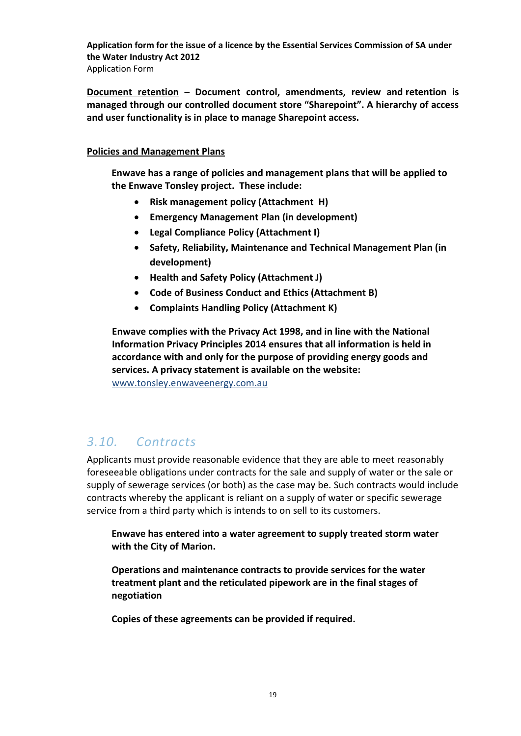**Document retention – Document control, amendments, review and retention is managed through our controlled document store "Sharepoint". A hierarchy of access and user functionality is in place to manage Sharepoint access.** 

#### **Policies and Management Plans**

**Enwave has a range of policies and management plans that will be applied to the Enwave Tonsley project. These include:**

- **Risk management policy (Attachment H)**
- **Emergency Management Plan (in development)**
- **Legal Compliance Policy (Attachment I)**
- **Safety, Reliability, Maintenance and Technical Management Plan (in development)**
- **Health and Safety Policy (Attachment J)**
- **Code of Business Conduct and Ethics (Attachment B)**
- **Complaints Handling Policy (Attachment K)**

**Enwave complies with the Privacy Act 1998, and in line with the National Information Privacy Principles 2014 ensures that all information is held in accordance with and only for the purpose of providing energy goods and services. A privacy statement is available on the website:**  [www.tonsley.enwaveenergy.com.au](http://www.tonsley.enwaveenergy.com.au/)

### *3.10. Contracts*

Applicants must provide reasonable evidence that they are able to meet reasonably foreseeable obligations under contracts for the sale and supply of water or the sale or supply of sewerage services (or both) as the case may be. Such contracts would include contracts whereby the applicant is reliant on a supply of water or specific sewerage service from a third party which is intends to on sell to its customers.

**Enwave has entered into a water agreement to supply treated storm water with the City of Marion.**

**Operations and maintenance contracts to provide services for the water treatment plant and the reticulated pipework are in the final stages of negotiation**

**Copies of these agreements can be provided if required.**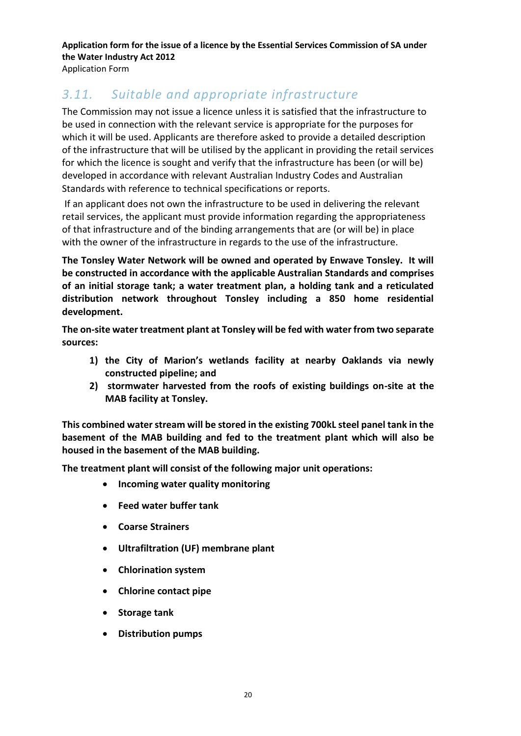#### Application Form

# *3.11. Suitable and appropriate infrastructure*

The Commission may not issue a licence unless it is satisfied that the infrastructure to be used in connection with the relevant service is appropriate for the purposes for which it will be used. Applicants are therefore asked to provide a detailed description of the infrastructure that will be utilised by the applicant in providing the retail services for which the licence is sought and verify that the infrastructure has been (or will be) developed in accordance with relevant Australian Industry Codes and Australian Standards with reference to technical specifications or reports.

If an applicant does not own the infrastructure to be used in delivering the relevant retail services, the applicant must provide information regarding the appropriateness of that infrastructure and of the binding arrangements that are (or will be) in place with the owner of the infrastructure in regards to the use of the infrastructure.

**The Tonsley Water Network will be owned and operated by Enwave Tonsley. It will be constructed in accordance with the applicable Australian Standards and comprises of an initial storage tank; a water treatment plan, a holding tank and a reticulated distribution network throughout Tonsley including a 850 home residential development.**

**The on-site water treatment plant at Tonsley will be fed with water from two separate sources:**

- **1) the City of Marion's wetlands facility at nearby Oaklands via newly constructed pipeline; and**
- **2) stormwater harvested from the roofs of existing buildings on-site at the MAB facility at Tonsley.**

**This combined water stream will be stored in the existing 700kL steel panel tank in the basement of the MAB building and fed to the treatment plant which will also be housed in the basement of the MAB building.**

**The treatment plant will consist of the following major unit operations:**

- **Incoming water quality monitoring**
- **Feed water buffer tank**
- **Coarse Strainers**
- **Ultrafiltration (UF) membrane plant**
- **Chlorination system**
- **Chlorine contact pipe**
- **Storage tank**
- **Distribution pumps**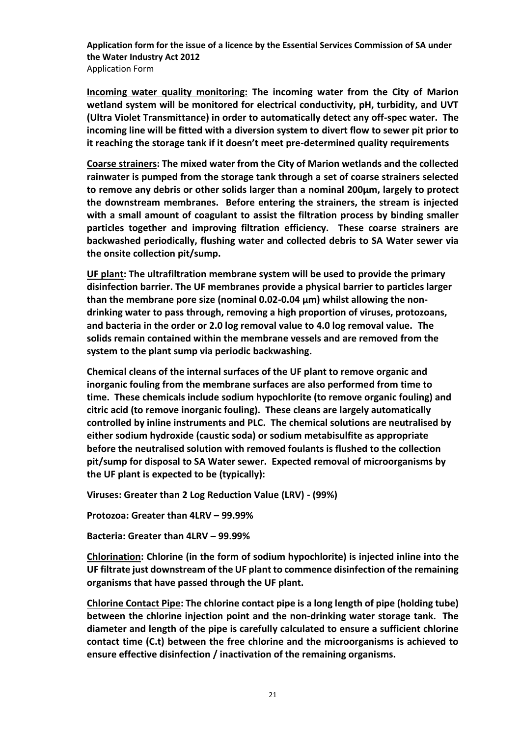**Incoming water quality monitoring: The incoming water from the City of Marion wetland system will be monitored for electrical conductivity, pH, turbidity, and UVT (Ultra Violet Transmittance) in order to automatically detect any off-spec water. The incoming line will be fitted with a diversion system to divert flow to sewer pit prior to it reaching the storage tank if it doesn't meet pre-determined quality requirements**

**Coarse strainers: The mixed water from the City of Marion wetlands and the collected rainwater is pumped from the storage tank through a set of coarse strainers selected to remove any debris or other solids larger than a nominal 200µm, largely to protect the downstream membranes. Before entering the strainers, the stream is injected with a small amount of coagulant to assist the filtration process by binding smaller particles together and improving filtration efficiency. These coarse strainers are backwashed periodically, flushing water and collected debris to SA Water sewer via the onsite collection pit/sump.**

**UF plant: The ultrafiltration membrane system will be used to provide the primary disinfection barrier. The UF membranes provide a physical barrier to particles larger than the membrane pore size (nominal 0.02-0.04 μm) whilst allowing the nondrinking water to pass through, removing a high proportion of viruses, protozoans, and bacteria in the order or 2.0 log removal value to 4.0 log removal value. The solids remain contained within the membrane vessels and are removed from the system to the plant sump via periodic backwashing.**

**Chemical cleans of the internal surfaces of the UF plant to remove organic and inorganic fouling from the membrane surfaces are also performed from time to time. These chemicals include sodium hypochlorite (to remove organic fouling) and citric acid (to remove inorganic fouling). These cleans are largely automatically controlled by inline instruments and PLC. The chemical solutions are neutralised by either sodium hydroxide (caustic soda) or sodium metabisulfite as appropriate before the neutralised solution with removed foulants is flushed to the collection pit/sump for disposal to SA Water sewer. Expected removal of microorganisms by the UF plant is expected to be (typically):**

**Viruses: Greater than 2 Log Reduction Value (LRV) - (99%)**

**Protozoa: Greater than 4LRV – 99.99%**

**Bacteria: Greater than 4LRV – 99.99%**

**Chlorination: Chlorine (in the form of sodium hypochlorite) is injected inline into the UF filtrate just downstream of the UF plant to commence disinfection of the remaining organisms that have passed through the UF plant.** 

**Chlorine Contact Pipe: The chlorine contact pipe is a long length of pipe (holding tube) between the chlorine injection point and the non-drinking water storage tank. The diameter and length of the pipe is carefully calculated to ensure a sufficient chlorine contact time (C.t) between the free chlorine and the microorganisms is achieved to ensure effective disinfection / inactivation of the remaining organisms.**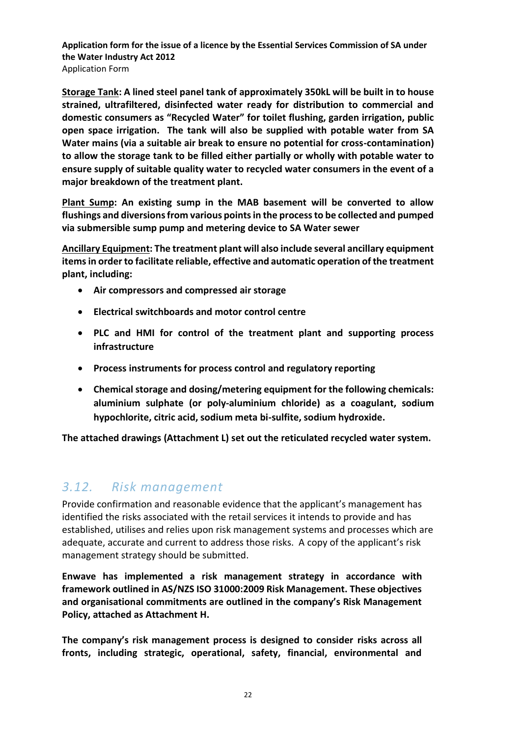**Storage Tank: A lined steel panel tank of approximately 350kL will be built in to house strained, ultrafiltered, disinfected water ready for distribution to commercial and domestic consumers as "Recycled Water" for toilet flushing, garden irrigation, public open space irrigation. The tank will also be supplied with potable water from SA Water mains (via a suitable air break to ensure no potential for cross-contamination) to allow the storage tank to be filled either partially or wholly with potable water to ensure supply of suitable quality water to recycled water consumers in the event of a major breakdown of the treatment plant.**

**Plant Sump: An existing sump in the MAB basement will be converted to allow flushings and diversions from various points in the process to be collected and pumped via submersible sump pump and metering device to SA Water sewer**

**Ancillary Equipment: The treatment plant will also include several ancillary equipment items in order to facilitate reliable, effective and automatic operation of the treatment plant, including:**

- **Air compressors and compressed air storage**
- **Electrical switchboards and motor control centre**
- **PLC and HMI for control of the treatment plant and supporting process infrastructure**
- **Process instruments for process control and regulatory reporting**
- **Chemical storage and dosing/metering equipment for the following chemicals: aluminium sulphate (or poly-aluminium chloride) as a coagulant, sodium hypochlorite, citric acid, sodium meta bi-sulfite, sodium hydroxide.**

**The attached drawings (Attachment L) set out the reticulated recycled water system.**

### *3.12. Risk management*

Provide confirmation and reasonable evidence that the applicant's management has identified the risks associated with the retail services it intends to provide and has established, utilises and relies upon risk management systems and processes which are adequate, accurate and current to address those risks. A copy of the applicant's risk management strategy should be submitted.

**Enwave has implemented a risk management strategy in accordance with framework outlined in AS/NZS ISO 31000:2009 Risk Management. These objectives and organisational commitments are outlined in the company's Risk Management Policy, attached as Attachment H.** 

**The company's risk management process is designed to consider risks across all fronts, including strategic, operational, safety, financial, environmental and**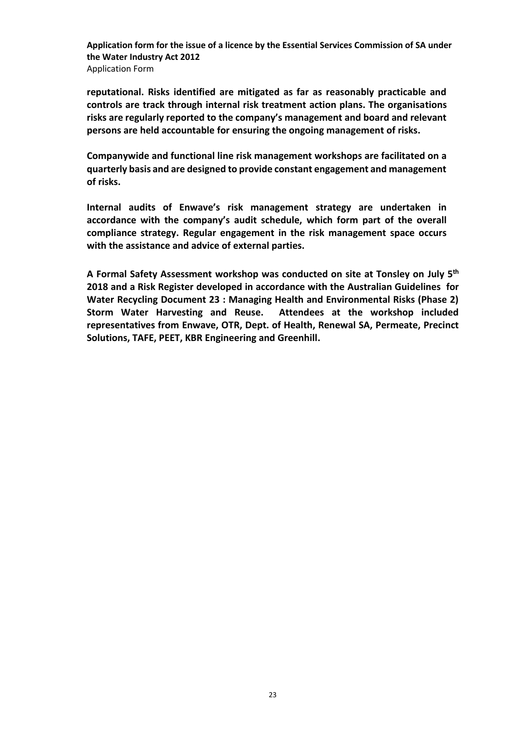**reputational. Risks identified are mitigated as far as reasonably practicable and controls are track through internal risk treatment action plans. The organisations risks are regularly reported to the company's management and board and relevant persons are held accountable for ensuring the ongoing management of risks.**

**Companywide and functional line risk management workshops are facilitated on a quarterly basis and are designed to provide constant engagement and management of risks.**

**Internal audits of Enwave's risk management strategy are undertaken in accordance with the company's audit schedule, which form part of the overall compliance strategy. Regular engagement in the risk management space occurs with the assistance and advice of external parties.**

**A Formal Safety Assessment workshop was conducted on site at Tonsley on July 5th 2018 and a Risk Register developed in accordance with the Australian Guidelines for Water Recycling Document 23 : Managing Health and Environmental Risks (Phase 2) Storm Water Harvesting and Reuse. Attendees at the workshop included representatives from Enwave, OTR, Dept. of Health, Renewal SA, Permeate, Precinct Solutions, TAFE, PEET, KBR Engineering and Greenhill.**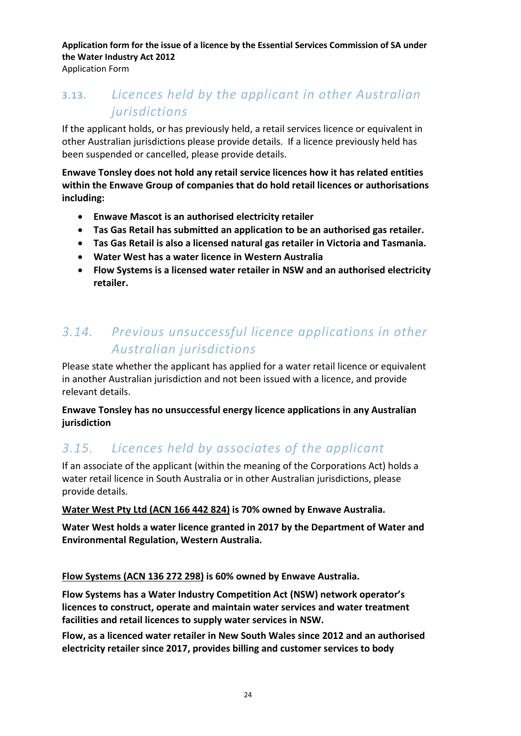Application Form

# **3.13.** *Licences held by the applicant in other Australian jurisdictions*

If the applicant holds, or has previously held, a retail services licence or equivalent in other Australian jurisdictions please provide details. If a licence previously held has been suspended or cancelled, please provide details.

**Enwave Tonsley does not hold any retail service licences how it has related entities within the Enwave Group of companies that do hold retail licences or authorisations including:**

- **Enwave Mascot is an authorised electricity retailer**
- **Tas Gas Retail has submitted an application to be an authorised gas retailer.**
- **Tas Gas Retail is also a licensed natural gas retailer in Victoria and Tasmania.**
- **Water West has a water licence in Western Australia**
- **Flow Systems is a licensed water retailer in NSW and an authorised electricity retailer.**

# *3.14. Previous unsuccessful licence applications in other Australian jurisdictions*

Please state whether the applicant has applied for a water retail licence or equivalent in another Australian jurisdiction and not been issued with a licence, and provide relevant details.

**Enwave Tonsley has no unsuccessful energy licence applications in any Australian jurisdiction**

# *3.15. Licences held by associates of the applicant*

If an associate of the applicant (within the meaning of the Corporations Act) holds a water retail licence in South Australia or in other Australian jurisdictions, please provide details.

### **Water West Pty Ltd (ACN 166 442 824) is 70% owned by Enwave Australia.**

**Water West holds a water licence granted in 2017 by the Department of Water and Environmental Regulation, Western Australia.**

**Flow Systems (ACN 136 272 298) is 60% owned by Enwave Australia.**

**Flow Systems has a Water Industry Competition Act (NSW) network operator's licences to construct, operate and maintain water services and water treatment facilities and retail licences to supply water services in NSW.**

**Flow, as a licenced water retailer in New South Wales since 2012 and an authorised electricity retailer since 2017, provides billing and customer services to body**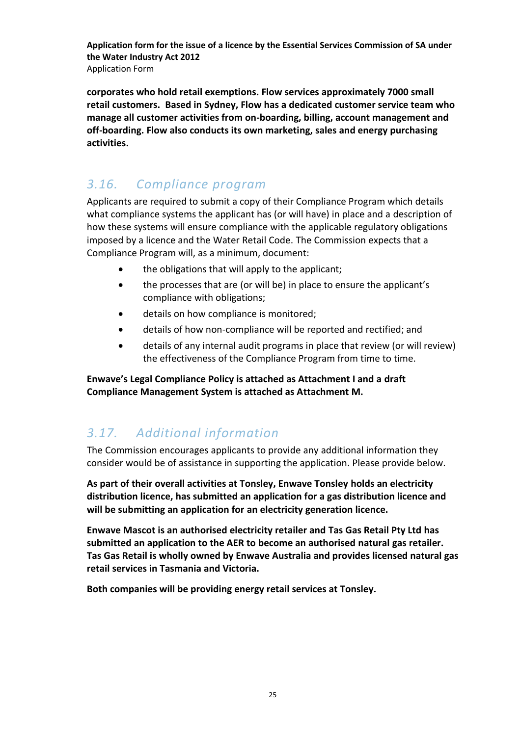**corporates who hold retail exemptions. Flow services approximately 7000 small retail customers. Based in Sydney, Flow has a dedicated customer service team who manage all customer activities from on-boarding, billing, account management and off-boarding. Flow also conducts its own marketing, sales and energy purchasing activities.** 

# *3.16. Compliance program*

Applicants are required to submit a copy of their Compliance Program which details what compliance systems the applicant has (or will have) in place and a description of how these systems will ensure compliance with the applicable regulatory obligations imposed by a licence and the Water Retail Code. The Commission expects that a Compliance Program will, as a minimum, document:

- the obligations that will apply to the applicant;
- the processes that are (or will be) in place to ensure the applicant's compliance with obligations;
- details on how compliance is monitored;
- details of how non-compliance will be reported and rectified; and
- details of any internal audit programs in place that review (or will review) the effectiveness of the Compliance Program from time to time.

**Enwave's Legal Compliance Policy is attached as Attachment I and a draft Compliance Management System is attached as Attachment M.** 

# *3.17. Additional information*

The Commission encourages applicants to provide any additional information they consider would be of assistance in supporting the application. Please provide below.

**As part of their overall activities at Tonsley, Enwave Tonsley holds an electricity distribution licence, has submitted an application for a gas distribution licence and will be submitting an application for an electricity generation licence.** 

**Enwave Mascot is an authorised electricity retailer and Tas Gas Retail Pty Ltd has submitted an application to the AER to become an authorised natural gas retailer. Tas Gas Retail is wholly owned by Enwave Australia and provides licensed natural gas retail services in Tasmania and Victoria.**

**Both companies will be providing energy retail services at Tonsley.**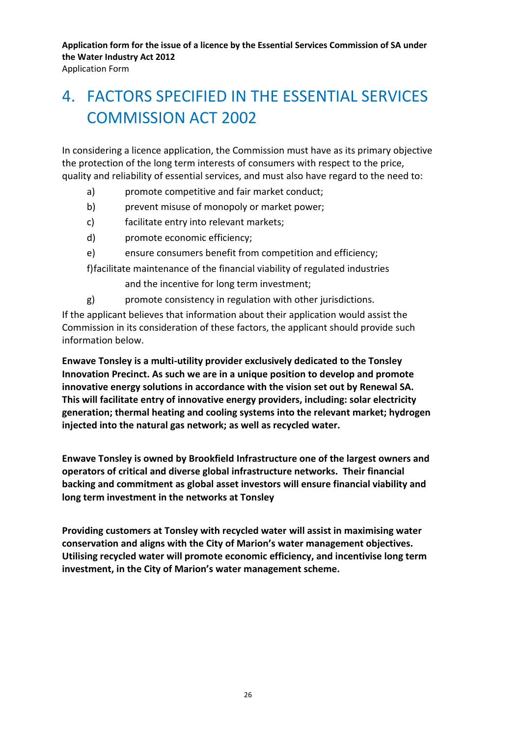Application Form

# 4. FACTORS SPECIFIED IN THE ESSENTIAL SERVICES COMMISSION ACT 2002

In considering a licence application, the Commission must have as its primary objective the protection of the long term interests of consumers with respect to the price, quality and reliability of essential services, and must also have regard to the need to:

- a) promote competitive and fair market conduct;
- b) prevent misuse of monopoly or market power;
- c) facilitate entry into relevant markets;
- d) promote economic efficiency;
- e) ensure consumers benefit from competition and efficiency;
- f)facilitate maintenance of the financial viability of regulated industries
	- and the incentive for long term investment;
- g) promote consistency in regulation with other jurisdictions.

If the applicant believes that information about their application would assist the Commission in its consideration of these factors, the applicant should provide such information below.

**Enwave Tonsley is a multi-utility provider exclusively dedicated to the Tonsley Innovation Precinct. As such we are in a unique position to develop and promote innovative energy solutions in accordance with the vision set out by Renewal SA. This will facilitate entry of innovative energy providers, including: solar electricity generation; thermal heating and cooling systems into the relevant market; hydrogen injected into the natural gas network; as well as recycled water.** 

**Enwave Tonsley is owned by Brookfield Infrastructure one of the largest owners and operators of critical and diverse global infrastructure networks. Their financial backing and commitment as global asset investors will ensure financial viability and long term investment in the networks at Tonsley**

**Providing customers at Tonsley with recycled water will assist in maximising water conservation and aligns with the City of Marion's water management objectives. Utilising recycled water will promote economic efficiency, and incentivise long term investment, in the City of Marion's water management scheme.**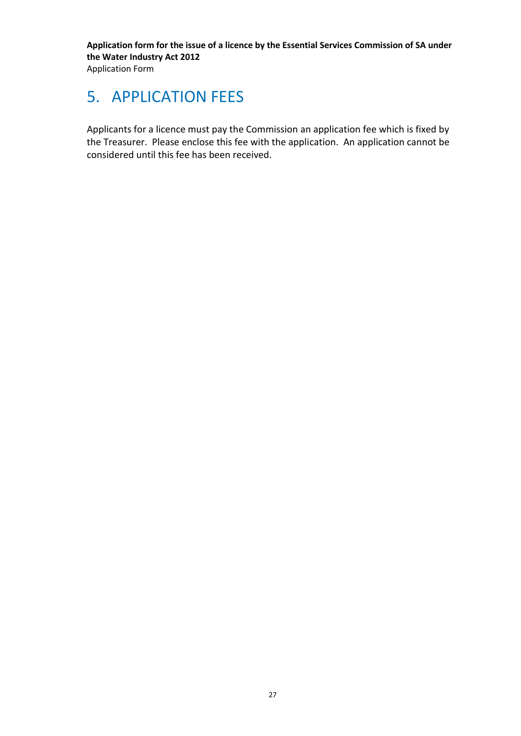#### Application Form

# 5. APPLICATION FEES

Applicants for a licence must pay the Commission an application fee which is fixed by the Treasurer. Please enclose this fee with the application. An application cannot be considered until this fee has been received.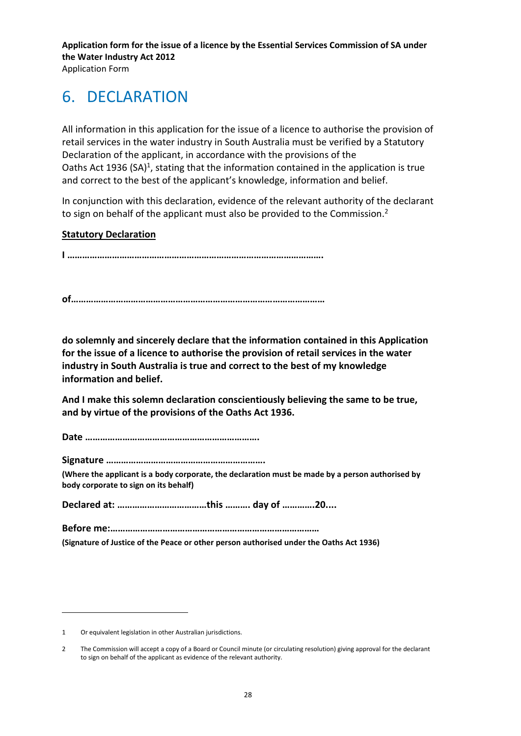Application Form

# 6. DECLARATION

All information in this application for the issue of a licence to authorise the provision of retail services in the water industry in South Australia must be verified by a Statutory Declaration of the applicant, in accordance with the provisions of the Oaths Act 1936 (SA)<sup>1</sup>, stating that the information contained in the application is true and correct to the best of the applicant's knowledge, information and belief.

In conjunction with this declaration, evidence of the relevant authority of the declarant to sign on behalf of the applicant must also be provided to the Commission.<sup>2</sup>

#### **Statutory Declaration**

**I ………………………………………………………………………………………….**

**of…………………………………………………………………………………………**

**do solemnly and sincerely declare that the information contained in this Application for the issue of a licence to authorise the provision of retail services in the water industry in South Australia is true and correct to the best of my knowledge information and belief.**

**And I make this solemn declaration conscientiously believing the same to be true, and by virtue of the provisions of the Oaths Act 1936.**

**Date …………………………………………………………….**

**Signature ……………………………………………………….**

**(Where the applicant is a body corporate, the declaration must be made by a person authorised by body corporate to sign on its behalf)**

**Declared at: ………………………………this ………. day of ………….20....**

**Before me:…………………………………………………………………………**

**(Signature of Justice of the Peace or other person authorised under the Oaths Act 1936)**

 $\overline{a}$ 

<sup>1</sup> Or equivalent legislation in other Australian jurisdictions.

<sup>2</sup> The Commission will accept a copy of a Board or Council minute (or circulating resolution) giving approval for the declarant to sign on behalf of the applicant as evidence of the relevant authority.